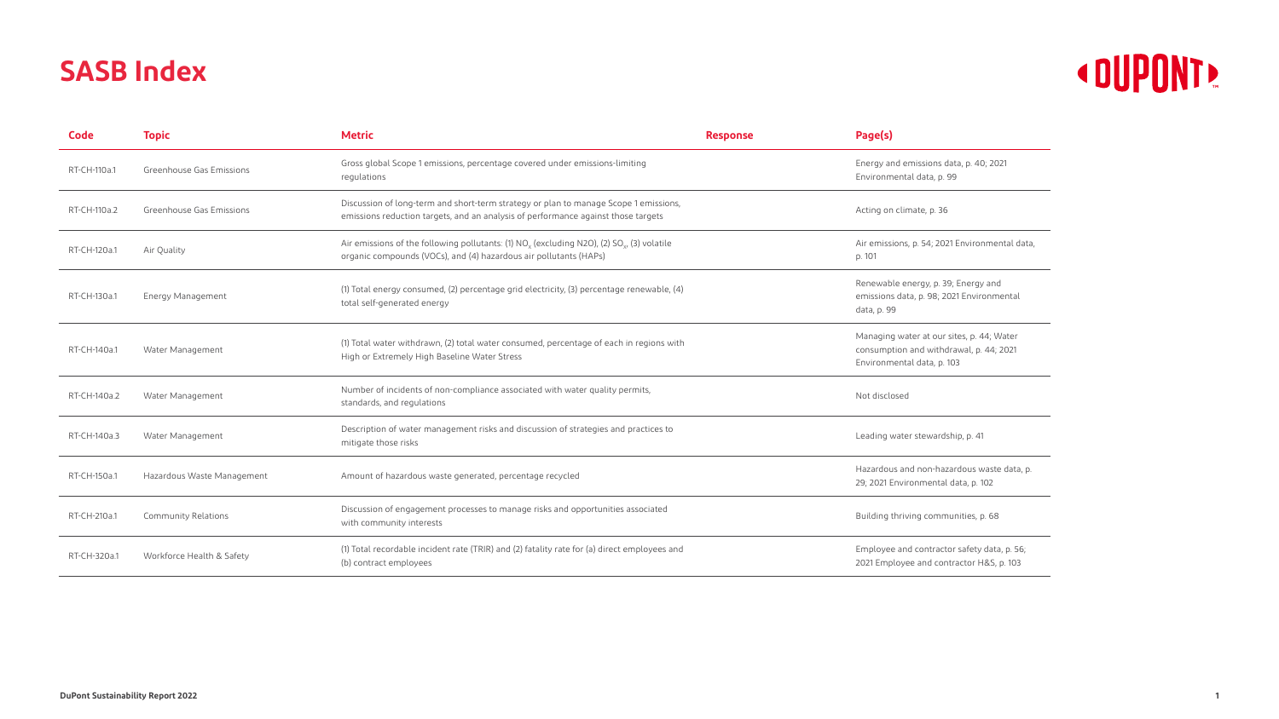## « DUPONT »

| 21                    |
|-----------------------|
|                       |
|                       |
|                       |
|                       |
| ntal data,            |
|                       |
|                       |
| $\mathsf{I}$<br>ental |
|                       |
|                       |
| Vater                 |
| 2021                  |
|                       |
|                       |
|                       |
|                       |
|                       |
|                       |
|                       |

## **SASB Index**

| Code         | <b>Topic</b>               | <b>Metric</b>                                                                                                                                                                 | <b>Response</b> | Page(s)                                                                                                            |
|--------------|----------------------------|-------------------------------------------------------------------------------------------------------------------------------------------------------------------------------|-----------------|--------------------------------------------------------------------------------------------------------------------|
| RT-CH-110a.1 | Greenhouse Gas Emissions   | Gross global Scope 1 emissions, percentage covered under emissions-limiting<br>regulations                                                                                    |                 | Energy and emissions data, p. 40; 2021<br>Environmental data, p. 99                                                |
| RT-CH-110a.2 | Greenhouse Gas Emissions   | Discussion of long-term and short-term strategy or plan to manage Scope 1 emissions,<br>emissions reduction targets, and an analysis of performance against those targets     |                 | Acting on climate, p. 36                                                                                           |
| RT-CH-120a.1 | Air Quality                | Air emissions of the following pollutants: (1) $NOx$ (excluding N2O), (2) SO <sub>x</sub> , (3) volatile<br>organic compounds (VOCs), and (4) hazardous air pollutants (HAPs) |                 | Air emissions, p. 54; 2021 Environmental data,<br>p. 101                                                           |
| RT-CH-130a.1 | Energy Management          | (1) Total energy consumed, (2) percentage grid electricity, (3) percentage renewable, (4)<br>total self-generated energy                                                      |                 | Renewable energy, p. 39; Energy and<br>emissions data, p. 98; 2021 Environmental<br>data, p. 99                    |
| RT-CH-140a.1 | Water Management           | (1) Total water withdrawn, (2) total water consumed, percentage of each in regions with<br>High or Extremely High Baseline Water Stress                                       |                 | Managing water at our sites, p. 44; Water<br>consumption and withdrawal, p. 44; 2021<br>Environmental data, p. 103 |
| RT-CH-140a.2 | Water Management           | Number of incidents of non-compliance associated with water quality permits,<br>standards, and regulations                                                                    |                 | Not disclosed                                                                                                      |
| RT-CH-140a.3 | Water Management           | Description of water management risks and discussion of strategies and practices to<br>mitigate those risks                                                                   |                 | Leading water stewardship, p. 41                                                                                   |
| RT-CH-150a.1 | Hazardous Waste Management | Amount of hazardous waste generated, percentage recycled                                                                                                                      |                 | Hazardous and non-hazardous waste data, p.<br>29; 2021 Environmental data, p. 102                                  |
| RT-CH-210a.1 | <b>Community Relations</b> | Discussion of engagement processes to manage risks and opportunities associated<br>with community interests                                                                   |                 | Building thriving communities, p. 68                                                                               |
| RT-CH-320a.1 | Workforce Health & Safety  | (1) Total recordable incident rate (TRIR) and (2) fatality rate for (a) direct employees and<br>(b) contract employees                                                        |                 | Employee and contractor safety data, p. 56;<br>2021 Employee and contractor H&S, p. 103                            |